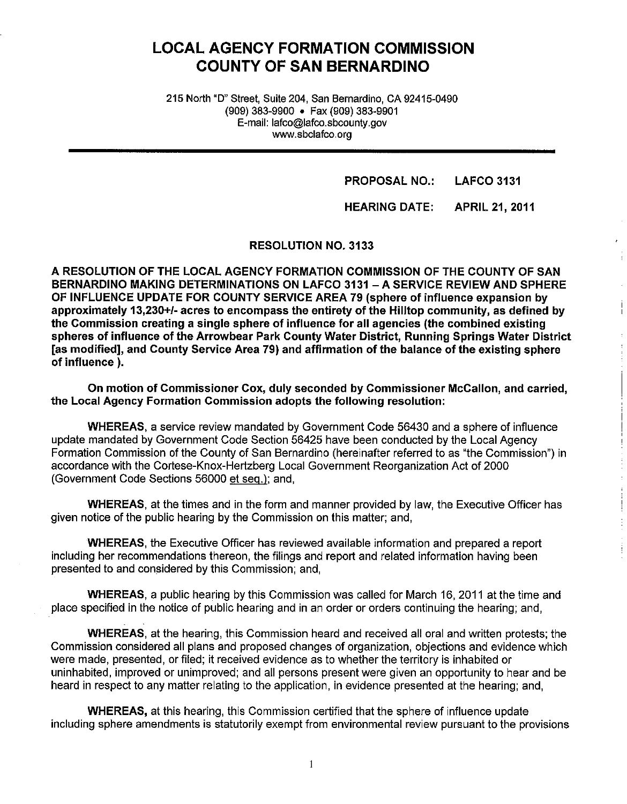# **LOCAL AGENCY FORMATION COMMISSION COUNTY OF SAN BERNARDINO**

215 North "D" Street, Suite 204, San Bernardino, CA 92415-0490 (909) 383-9900 • Fax (909) 383-9901 E-mail: lafco@lafco.sbcounty.gov www.sbclafco.org

> **PROPOSAL NO.: LAFCO 3131**

**HEARING DATE: APRIL 21, 2011** 

**RESOLUTION NO. 3133** 

**A RESOLUTION OF THE LOCAL AGENCY FORMATION COMMISSION OF THE COUNTY OF SAN BERNARDINO MAKING DETERMINATIONS ON LAFCO 3131 -A SERVICE REVIEW AND SPHERE OF INFLUENCE UPDATE FOR COUNTY SERVICE AREA 79 (sphere of influence expansion by approximately 13,230+/- acres to encompass the entirety of the Hilltop community, as defined by the Commission creating a single sphere of influence for all agencies (the combined existing spheres of influence of the Arrowbear Park County Water District, Running Springs Water District [as modified], and County Service Area 79) and affirmation of the balance of the existing sphere of influence** ).

**On motion of Commissioner Cox, duly seconded by Commissioner McCallon, and carried, the Local Agency Formation Commission adopts the following resolution:** 

**WHEREAS,** a service review mandated by Government Code 56430 and a sphere of influence update mandated by Government Code Section 56425 have been conducted by the Local Agency Formation Commission of the County of San Bernardino (hereinafter referred to as "the Commission") in accordance with the Cortese-Knox-Hertzberg Local Government Reorganization Act of 2000 (Government Code Sections 56000 et seq.); and,

**WHEREAS,** at the times and in the form and manner provided by law, the Executive Officer has given notice of the public hearing by the Commission on this matter; and,

**WHEREAS,** the Executive Officer has reviewed available information and prepared a report including her recommendations thereon, the filings and report and related information having been presented to and considered by this Commission; and,

**WHEREAS,** a public hearing by this Commission was called for March 16, 2011 at the time and place specified in the notice of public hearing and in an order or orders continuing the hearing; and,

**WHEREAS,** at the hearing, this Commission heard and received all oral and written protests; the Commission considered all plans and proposed changes of organization, objections and evidence which were made, presented, or filed; it received evidence as to whether the territory is inhabited or uninhabited, improved or unimproved; and all persons present were given an opportunity to hear and be heard in respect to any matter relating to the application, in evidence presented at the hearing; and,

**WHEREAS,** at this hearing, this Commission certified that the sphere of influence update including sphere amendments is statutorily exempt from environmental review pursuant to the provisions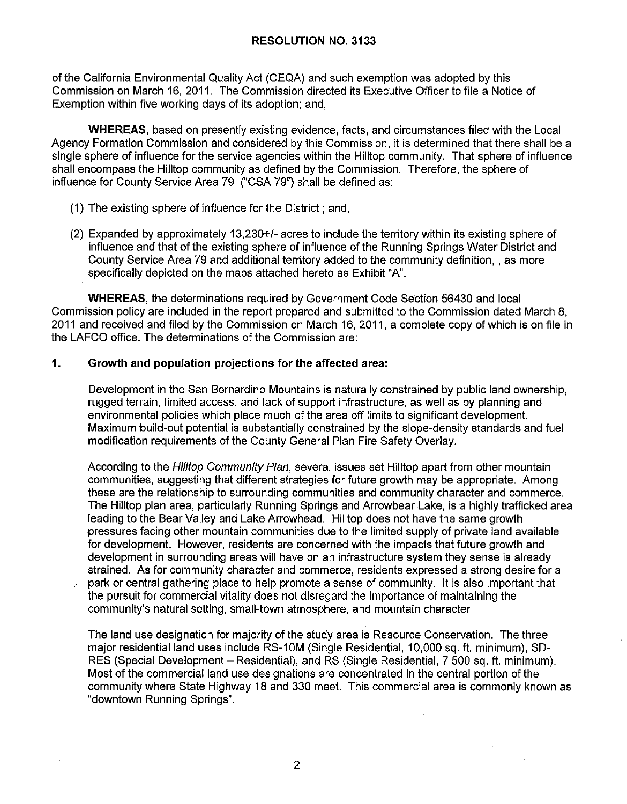of the California Environmental Quality Act (CEQA) and such exemption was adopted by this Commission on March 16, 2011. The Commission directed its Executive Officer to file a Notice of Exemption within five working days of its adoption; and,

**WHEREAS,** based on presently existing evidence, facts, and circumstances filed with the Local Agency Formation Commission and considered by this Commission, it is determined that there shall be a single sphere of influence for the service agencies within the Hilltop community. That sphere of influence shall encompass the Hilltop community as defined by the Commission. Therefore, the sphere of influence for County Service Area 79 ("CSA 79") shall be defined as:

- (1) The existing sphere of influence for the District; and,
- (2) Expanded by approximately 13,230+/- acres to include the territory within its existing sphere of influence and that of the existing sphere of influence of the Running Springs Water District and County Service Area 79 and additional territory added to the community definition, , as more specifically depicted on the maps attached hereto as Exhibit "A".

**WHEREAS,** the determinations required by Government Code Section 56430 and local Commission policy are included in the report prepared and submitted to the Commission dated March 8, 2011 and received and filed by the Commission on March 16, 2011, a complete copy of which is on file in the LAFCO office. The determinations of the Commission are:

#### **1. Growth and population projections for the affected area:**

Development in the San Bernardino Mountains is naturally constrained by public land ownership, rugged terrain, limited access, and lack of support infrastructure, as well as by planning and environmental policies which place much of the area off limits to significant development. Maximum build-out potential is substantially constrained by the slope-density standards and fuel modification requirements of the County General Plan Fire Safety Overlay.

According to the Hilltop Community Plan, several issues set Hilltop apart from other mountain communities, suggesting that different strategies for future growth may be appropriate. Among these are the relationship to surrounding communities and community character and commerce. The Hilltop plan area, particularly Running Springs and Arrowbear Lake, is a highly trafficked area leading to the Bear Valley and Lake Arrowhead. Hilltop does not have the same growth pressures facing other mountain communities due to the limited supply of private land available for development. However, residents are concerned with the impacts that future growth and development in surrounding areas will have on an infrastructure system they sense is already strained. As for community character and commerce, residents expressed a strong desire for a park or central gathering place to help promote a sense of community. It is also important that the pursuit for commercial vitality does not disregard the importance of maintaining the community's natural setting, small-town atmosphere, and mountain character.

The land use designation for majority of the study area is Resource Conservation. The three major residential land uses include RS-10M (Single Residential, 10,000 sq. ft. minimum), SO-RES (Special Development – Residential), and RS (Single Residential, 7,500 sq. ft. minimum). Most of the commercial land use designations are concentrated in the central portion of the community where State Highway 18 and 330 meet. This commercial area is commonly known as "downtown Running Springs".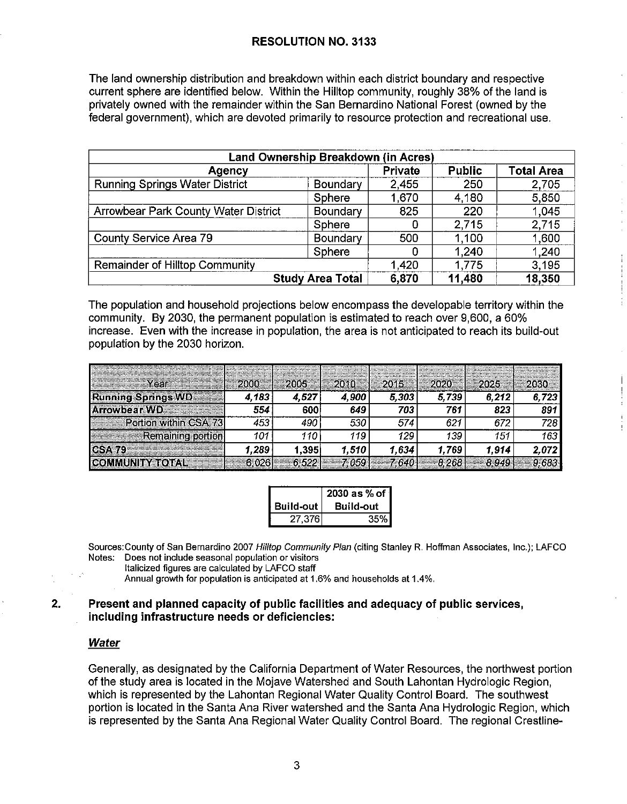The land ownership distribution and breakdown within each district boundary and respective current sphere are identified below. Within the Hilltop community, roughly 38% of the land is privately owned with the remainder within the San Bernardino National Forest (owned by the federal government), which are devoted primarily to resource protection and recreational use.

| Land Ownership Breakdown (in Acres)         |          |                |               |                   |  |  |
|---------------------------------------------|----------|----------------|---------------|-------------------|--|--|
| Agency                                      |          | <b>Private</b> | <b>Public</b> | <b>Total Area</b> |  |  |
| <b>Running Springs Water District</b>       | Boundary | 2,455          | 250           | 2,705             |  |  |
|                                             | Sphere   | 1,670          | 4,180         | 5,850             |  |  |
| <b>Arrowbear Park County Water District</b> | Boundary | 825            | 220           | 1,045             |  |  |
|                                             | Sphere   | O              | 2,715         | 2,715             |  |  |
| County Service Area 79                      | Boundary | 500            | 1,100         | 1,600             |  |  |
|                                             | Sphere   | 0              | 1,240         | 1,240             |  |  |
| <b>Remainder of Hilltop Community</b>       |          | 1,420          | 1,775         | 3,195             |  |  |
| <b>Study Area Total</b>                     | 6,870    | 11,480         | 18,350        |                   |  |  |

The population and household projections below encompass the developable territory within the community. By 2030, the permanent population is estimated to reach over 9,600, a 60% increase. Even with the increase in population, the area is not anticipated to reach its build-out population by the 2030 horizon.

| as shaka hina da huji sasa ka sigirsa sa sayawa ga siga ha dabinan sa siyangkas dagana da ka kadadad dabina da<br>Ni yang munggaliya yang ka gang ang kasang ganigigan yawiga yay yay ariyay ya ganana yanagana yawannyan yanci<br>rear a<br>a compositor de la componentación de | <b><i>Charles Controller Library</i></b><br>amages formas as not design a marguers as a director |       | $-2010$ | $\equiv$ 2015 $\equiv$ 1 $\equiv$ 2020 $\equiv$ |       | $-2025$ |       |
|-----------------------------------------------------------------------------------------------------------------------------------------------------------------------------------------------------------------------------------------------------------------------------------|--------------------------------------------------------------------------------------------------|-------|---------|-------------------------------------------------|-------|---------|-------|
| <b>Running SpringsWD</b>                                                                                                                                                                                                                                                          | 4.183                                                                                            | 4.527 | 4,900   | 5,303                                           | 5,739 | 6,212   | 723   |
| Arrowbear WD                                                                                                                                                                                                                                                                      |                                                                                                  | 60C   | 649     | 703                                             | 761   | 823.    | 891   |
| <b>Example 1: Portion within CSA 73</b>                                                                                                                                                                                                                                           | 453                                                                                              | 490   | 530     | 574                                             | 621   |         | 728.  |
| <b>Remaining portion</b>                                                                                                                                                                                                                                                          | 101                                                                                              | 110   | 119     | 129                                             | 139   | 151     | 163   |
| a series de la companya de la companya de la companya de la companya de la companya de la companya de la compa                                                                                                                                                                    | 1.289                                                                                            | 1,395 | 1.510   | 1.634                                           | 1.769 | 1.914   | 2.072 |
| ICOMMUNITY ACTAE                                                                                                                                                                                                                                                                  |                                                                                                  |       |         |                                                 |       |         |       |

|           | 2030 as % of     |
|-----------|------------------|
| Build-out | <b>Build-out</b> |
| 27,376    | 35%              |

Sources:County of San Bernardino 2007 Hilltop Community Plan (citing Stanley R. Hoffman Associates, Inc.); LAFCO Notes: Does not include seasonal population or visitors

Italicized figures are calculated by LAFCO staff

Annual growth for population is anticipated at 1.6% and households at 1 .4%.

#### **2. Present and planned capacity of public facilities and adequacy of public services, including infrastructure needs or deficiencies:**

#### Water

Generally, as designated by the California Department of Water Resources, the northwest portion of the study area is located in the Mojave Watershed and South Lahontan Hydrologic Region, which is represented by the Lahontan Regional Water Quality Control Board. The southwest portion is located in the Santa Ana River watershed and the Santa Ana Hydrologic Region, which is represented by the Santa Ana Regional Water Quality Control Board. The regional Crestline-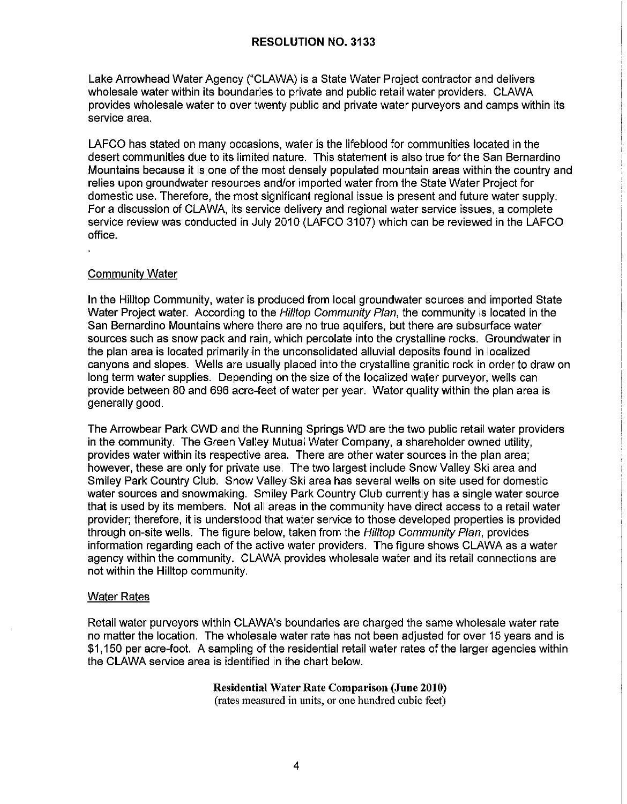Lake Arrowhead Water Agency ("CLAWA) is a State Water Project contractor and delivers wholesale water within its boundaries to private and public retail water providers. CLAWA provides wholesale water to over twenty public and private water purveyors and camps within its service area.

LAFCO has stated on many occasions, water is the lifeblood for communities located in the desert communities due to its limited nature. This statement is also true for the San Bernardino Mountains because it is one of the most densely populated mountain areas within the country and relies upon groundwater resources and/or imported water from the State Water Project for domestic use. Therefore, the most significant regional issue is present and future water supply. For a discussion of CLAWA, its service delivery and regional water service issues, a complete service review was conducted in July 2010 (LAFCO 3107) which can be reviewed in the LAFCO office.

#### Community Water

In the Hilltop Community, water is produced from local groundwater sources and imported State Water Project water. According to the Hilltop Community Plan, the community is located in the San Bernardino Mountains where there are no true aquifers, but there are subsurface water sources such as snow pack and rain, which percolate into the crystalline rocks. Groundwater in the plan area is located primarily in the unconsolidated alluvial deposits found in localized canyons and slopes. Wells are usually placed into the crystalline granitic rock in order to draw on long term water supplies. Depending on the size of the localized water purveyor, wells can provide between 80 and 696 acre-feet of water per year. Water quality within the plan area is generally good.

The Arrowbear Park CWD and the Running Springs WD are the two public retail water providers in the community. The Green Valley Mutual Water Company, a shareholder owned utility, provides water within its respective area. There are other water sources in the plan area; however, these are only for private use. The two largest include Snow Valley Ski area and Smiley Park Country Club. Snow Valley Ski area has several wells on site used for domestic water sources and snowmaking. Smiley Park Country Club currently has a single water source that is used by its members. Not all areas in the community have direct access to a retail water provider; therefore, it is understood that water service to those developed properties is provided through on-site wells. The figure below, taken from the *Hilltop Community Plan*, provides information regarding each of the active water providers. The figure shows CLAWA as a water agency within the community. CLAWA provides wholesale water and its retail connections are not within the Hilltop community.

#### Water Rates

Retail water purveyors within CLAWA's boundaries are charged the same wholesale water rate no matter the location. The wholesale water rate has not been adjusted for over 15 years and is \$1,150 per acre-foot. A sampling of the residential retail water rates of the larger agencies within the CLAWA service area is identified in the chart below.

> **Residential Water Rate Comparison (June 2010)**  (rates measured in units, or one hundred cubic feet)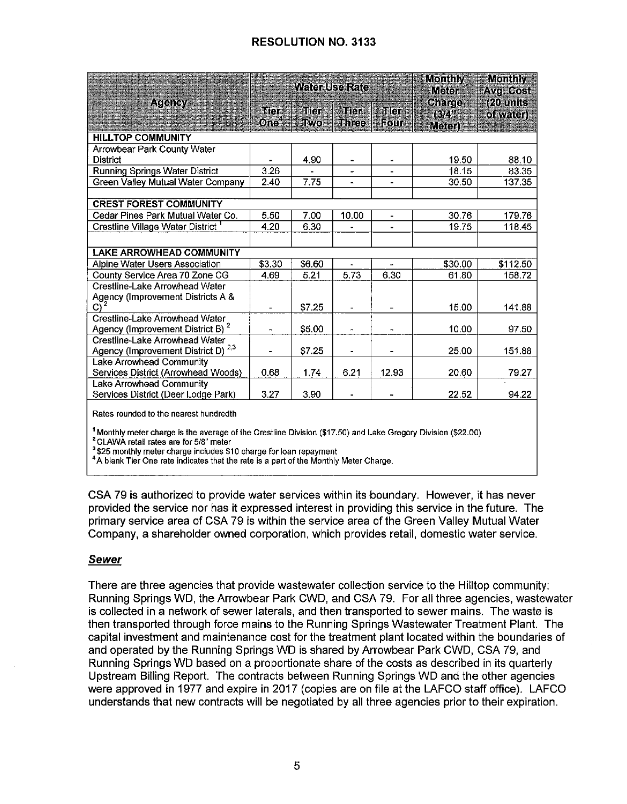|                                               |                          | WaterJsekae        |                          |                          | Monthly<br><b>Meter</b>       | Monthly<br>Avg. Cost   |
|-----------------------------------------------|--------------------------|--------------------|--------------------------|--------------------------|-------------------------------|------------------------|
| <b>Agency</b>                                 | Tier<br>One <sup>4</sup> | Tier<br><b>TWO</b> | aller<br><b>I</b> hree   | Tier<br><b>FOUT</b>      | <b>Charge</b><br>[62]<br>जन्म | (20 units<br>ol water) |
| <b>HILLTOP COMMUNITY</b>                      |                          |                    |                          |                          |                               |                        |
| <b>Arrowbear Park County Water</b>            |                          |                    |                          |                          |                               |                        |
| <b>District</b>                               |                          | 4.90               |                          |                          | 19.50                         | 88.10                  |
| <b>Running Springs Water District</b>         | 3.26                     |                    |                          | $\overline{a}$           | 18.15                         | 83.35                  |
| Green Valley Mutual Water Company             | 2.40                     | 7.75               |                          | $\blacksquare$           | 30.50                         | 137.35                 |
|                                               |                          |                    |                          |                          |                               |                        |
| <b>CREST FOREST COMMUNITY</b>                 |                          |                    |                          |                          |                               |                        |
| Cedar Pines Park Mutual Water Co.             | 5.50                     | 7.00               | 10.00                    | $\blacksquare$           | 30.76                         | 179.76                 |
| Crestline Village Water District <sup>1</sup> | 4.20                     | 6.30               |                          |                          | 19.75                         | 118.45                 |
|                                               |                          |                    |                          |                          |                               |                        |
| <b>LAKE ARROWHEAD COMMUNITY</b>               |                          |                    |                          |                          |                               |                        |
| Alpine Water Users Association                | \$3.30                   | \$6.60             | $\overline{\phantom{0}}$ | $\overline{\phantom{a}}$ | \$30.00                       | \$112.50               |
| County Service Area 70 Zone CG                | 4.69                     | 5.21               | 5.73                     | 6.30                     | 61.80                         | 158.72                 |
| Crestline-Lake Arrowhead Water                |                          |                    |                          |                          |                               |                        |
| Agency (Improvement Districts A &             |                          |                    |                          |                          |                               |                        |
| $\overline{C}$ <sup>2</sup>                   |                          | \$7.25             |                          |                          | 15.00                         | 141.88                 |
| Crestline-Lake Arrowhead Water                |                          |                    |                          |                          |                               |                        |
| Agency (Improvement District B) <sup>2</sup>  | $\blacksquare$           | \$5.00             |                          | $\blacksquare$           | 10.00                         | 97.50                  |
| Crestline-Lake Arrowhead Water<br>2,3         |                          |                    |                          |                          |                               |                        |
| Agency (Improvement District D)               |                          | \$7.25             |                          |                          | 25.00                         | 151.88                 |
| Lake Arrowhead Community                      |                          |                    |                          |                          |                               |                        |
| Services District (Arrowhead Woods)           | 0.68                     | 1.74               | 6.21                     | 12.93                    | 20.60                         | 79.27                  |
| Lake Arrowhead Community                      |                          |                    |                          |                          |                               |                        |
| Services District (Deer Lodge Park)           | 3.27                     | 3.90               |                          |                          | 22.52                         | 94.22                  |
| Rates rounded to the nearest hundredth        |                          |                    |                          |                          |                               |                        |

<sup>1</sup> Monthly meter charge is the average of the Crestline Division (\$17,50) and Lake Gregory Division (\$22,00)

<sup>2</sup> CLAWA retail rates are for 5/8" meter

<sup>3</sup>\$25 monthly meter charge includes \$10 charge for loan repayment

<sup>4</sup>A blank Tier One rate indicates that the rate is a part of the Monthly Meter Charge.

CSA 79 is authorized to provide water services within its boundary. However, it has never provided the service nor has it expressed interest in providing this service in the future. The primary service area of CSA 79 is within the service area of the Green Valley Mutual Water Company, a shareholder owned corporation, which provides retail, domestic water service.

#### Sewer

There are three agencies that provide wastewater collection service to the Hilltop community: Running Springs WD, the Arrowbear Park CWD, and CSA 79. For all three agencies, wastewater is collected in a network of sewer laterals, and then transported to sewer mains. The waste is then transported through force mains to the Running Springs Wastewater Treatment Plant. The capital investment and maintenance cost for the treatment plant located within the boundaries of and operated by the Running Springs WD is shared by Arrowbear Park CWD, CSA 79, and Running Springs WD based on a proportionate share of the costs as described in its quarterly Upstream Billing Report. The contracts between Running Springs WD and the other agencies were approved in 1977 and expire in 2017 (copies are on file at the LAFCO staff office). LAFCO understands that new contracts will be negotiated by all three agencies prior to their expiration.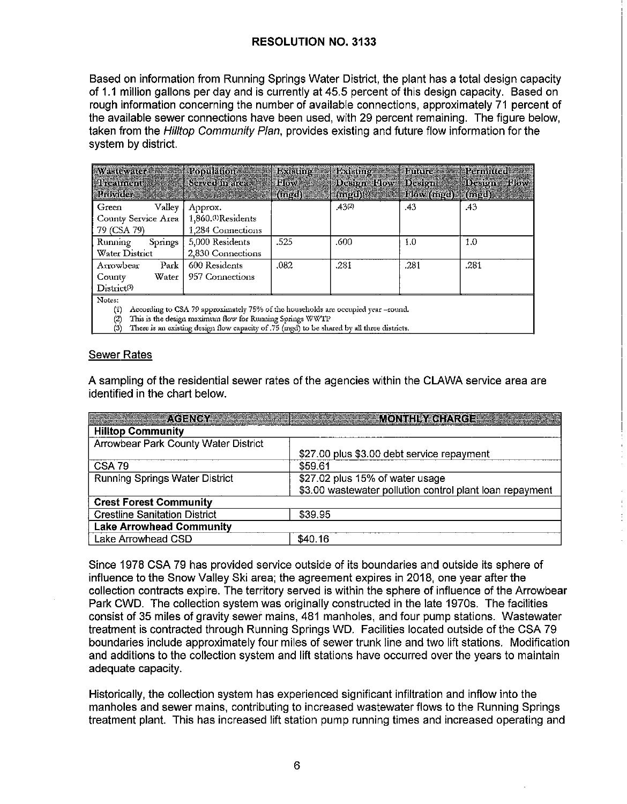Based on information from Running Springs Water District, the plant has a total design capacity of 1.1 million gallons per day and is currently at 45.5 percent of this design capacity. Based on rough information concerning the number of available connections, approximately 71 percent of the available sewer connections have been used, with 29 percent remaining. The figure below, taken from the *Hilltop Community Plan*, provides existing and future flow information for the system by district.

| Wastewater and Population<br><b>Elicament</b>                                                                                                                                                                                                                                        | Served in arca                                                 | Existing<br>Elov | <b>Distance:</b><br>Design How Design      | <b>Lutures</b> | Permitted<br>Design Flow |  |
|--------------------------------------------------------------------------------------------------------------------------------------------------------------------------------------------------------------------------------------------------------------------------------------|----------------------------------------------------------------|------------------|--------------------------------------------|----------------|--------------------------|--|
| Provider                                                                                                                                                                                                                                                                             |                                                                | $(mq_0)$         | $(\text{mod})^{(0)}$ . Flow $(\text{mod})$ |                | (mgd)                    |  |
| Valley<br>Green<br>County Service Area<br>79 (CSA 79)                                                                                                                                                                                                                                | Approx.<br>1,860. <sup>(D</sup> Residents<br>1,284 Connections |                  | .43(2)                                     | .43            | .43                      |  |
| Running<br>Springs<br>Water District                                                                                                                                                                                                                                                 | 5,000 Residents<br>2,830 Connections                           | .525             | .600                                       | 1.0            | 1.0                      |  |
| Arrowbear<br>Park<br>Water<br>County<br>Distinct <sup>(3)</sup>                                                                                                                                                                                                                      | 600 Residents<br>957 Connections                               | .082             | .281                                       | .281           | .281                     |  |
| Notes:<br>According to CSA 79 approximately 75% of the households are occupied year -round.<br>$^{\rm (i)}$<br>This is the design maximum flow for Running Springs WWTP<br>(2,<br>There is an existing design flow capacity of .75 (mgd) to be shared by all three districts.<br>(3) |                                                                |                  |                                            |                |                          |  |

(3) There is an existing design flow capacity of .75  $(mgd)$  to be shared by all three districts.

#### Sewer Rates

A sampling of the residential sewer rates of the agencies within the CLAWA service area are identified in the chart below.

|                                       | AGENCY COMPANY AND CONTRACT MONEY CHARGE AND ALL AND A STRUCK CHARGE AND ALL AND A STRUCK CHARGE AND A STRUCK |
|---------------------------------------|---------------------------------------------------------------------------------------------------------------|
| <b>Hilltop Community</b>              |                                                                                                               |
| Arrowbear Park County Water District  |                                                                                                               |
|                                       | \$27.00 plus \$3.00 debt service repayment                                                                    |
| <b>CSA 79</b>                         | \$59.61                                                                                                       |
| <b>Running Springs Water District</b> | \$27.02 plus 15% of water usage                                                                               |
|                                       | \$3.00 wastewater pollution control plant loan repayment                                                      |
| <b>Crest Forest Community</b>         |                                                                                                               |
| <b>Crestline Sanitation District</b>  | \$39.95                                                                                                       |
| <b>Lake Arrowhead Community</b>       |                                                                                                               |
| Lake Arrowhead CSD                    | \$40.16                                                                                                       |

Since 1978 CSA 79 has provided service outside of its boundaries and outside its sphere of influence to the Snow Valley Ski area; the agreement expires in 2018, one year after the collection contracts expire. The territory served is within the sphere of influence of the Arrowbear Park CWD. The collection system was originally constructed in the late 1970s. The facilities consist of 35 miles of gravity sewer mains, 481 manholes, and four pump stations. Wastewater treatment is contracted through Running Springs WD. Facilities located outside of the CSA 79 boundaries include approximately four miles of sewer trunk line and two lift stations. Modification and additions to the collection system and lift stations have occurred over the years to maintain adequate capacity.

Historically, the collection system has experienced significant infiltration and inflow into the manholes and sewer mains, contributing to increased wastewater flows to the Running Springs treatment plant. This has increased lift station pump running times and increased operating and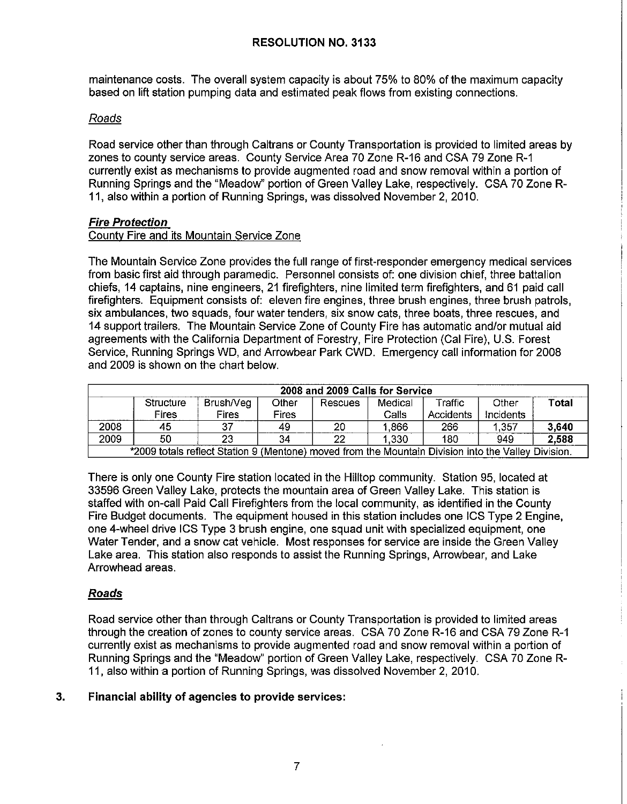maintenance costs. The overall system capacity is about 75% to 80% of the maximum capacity based on lift station pumping data and estimated peak flows from existing connections.

## Roads

Road service other than through Caltrans or County Transportation is provided to limited areas by zones to county service areas. County Service Area 70 Zone R-16 and CSA 79 Zone R-1 currently exist as mechanisms to provide augmented road and snow removal within a portion of Running Springs and the "Meadow" portion of Green Valley Lake, respectively. CSA 70 Zone R-11, also within a portion of Running Springs, was dissolved November 2, 2010.

### **Fire Protection**

### County Fire and its Mountain Service Zone

The Mountain Service Zone provides the full range of first-responder emergency medical services from basic first aid through paramedic. Personnel consists of: one division chief, three battalion chiefs, 14 captains, nine engineers, 21 firefighters, nine limited term firefighters, and 61 paid call firefighters. Equipment consists of: eleven fire engines, three brush engines, three brush patrols, six ambulances, two squads, four water tenders, six snow cats, three boats, three rescues, and 14 support trailers. The Mountain Service Zone of County Fire has automatic and/or mutual aid agreements with the California Department of Forestry, Fire Protection (Cal Fire), U.S. Forest Service, Running Springs WD, and Arrowbear Park CWD. Emergency call information for 2008 and 2009 is shown on the chart below.

|                                                                                                     | 2008 and 2009 Calls for Service |              |       |         |         |           |           |       |
|-----------------------------------------------------------------------------------------------------|---------------------------------|--------------|-------|---------|---------|-----------|-----------|-------|
|                                                                                                     | Structure                       | Brush/Veg    | Other | Rescues | Medical | Traffic   | Other     | Total |
|                                                                                                     | Fires                           | <b>Fires</b> | Fires |         | Calls   | Accidents | Incidents |       |
| 2008                                                                                                | 45                              | 37           | 49    | 20      | ,866    | 266       | 1,357     | 3,640 |
| 2009                                                                                                | 50                              | 23           | 34    | 22      | 1,330   | 180       | 949       | 2,588 |
| *2009 totals reflect Station 9 (Mentone) moved from the Mountain Division into the Valley Division. |                                 |              |       |         |         |           |           |       |

There is only one County Fire station located in the Hilltop community. Station 95, located at 33596 Green Valley Lake, protects the mountain area of Green Valley Lake. This station is staffed with on-call Paid Call Firefighters from the local community, as identified in the County Fire Budget documents. The equipment housed in this station includes one ICS Type 2 Engine, one 4-wheel drive ICS Type 3 brush engine, one squad unit with specialized equipment, one Water Tender, and a snow cat vehicle. Most responses for service are inside the Green Valley Lake area. This station also responds to assist the Running Springs, Arrowbear, and Lake Arrowhead areas.

## **Roads**

Road service other than through Caltrans or County Transportation is provided to limited areas through the creation of zones to county service areas. CSA 70 Zone R-16 and CSA 79 Zone R-1 currently exist as mechanisms to provide augmented road and snow removal within a portion of Running Springs and the "Meadow" portion of Green Valley Lake, respectively. CSA 70 Zone R-11, also within a portion of Running Springs, was dissolved November 2, 2010.

## **3. Financial ability of agencies to provide services:**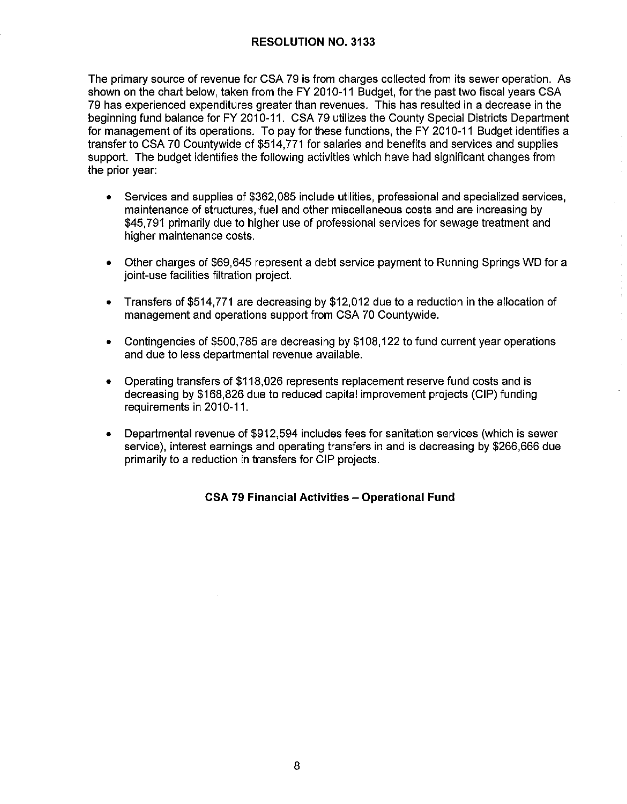The primary source of revenue for CSA 79 is from charges collected from its sewer operation. As shown on the chart below, taken from the FY 2010-11 Budget, for the past two fiscal years CSA 79 has experienced expenditures greater than revenues. This has resulted in a decrease in the beginning fund balance for FY 2010-11. CSA 79 utilizes the County Special Districts Department for management of its operations. To pay for these functions, the FY 2010-11 Budget identifies a transfer to CSA 70 Countywide of \$514,771 for salaries and benefits and services and supplies support. The budget identifies the following activities which have had significant changes from the prior year:

- Services and supplies of \$362,085 include utilities, professional and specialized services, maintenance of structures, fuel and other miscellaneous costs and are increasing by \$45,791 primarily due to higher use of professional services for sewage treatment and higher maintenance costs.
- Other charges of \$69,645 represent a debt service payment to Running Springs WD for a joint-use facilities filtration project.
- Transfers of \$514,771 are decreasing by \$12,012 due to a reduction in the allocation of management and operations support from CSA 70 Countywide.
- Contingencies of \$500,785 are decreasing by \$108,122 to fund current year operations and due to less departmental revenue available.
- Operating transfers of \$118,026 represents replacement reserve fund costs and is decreasing by \$168,826 due to reduced capital improvement projects (GIP) funding requirements in 2010-11.
- Departmental revenue of \$912,594 includes fees for sanitation services (which is sewer service), interest earnings and operating transfers in and is decreasing by \$266,666 due primarily to a reduction in transfers for GIP projects.

## **CSA 79 Financial Activities - Operational Fund**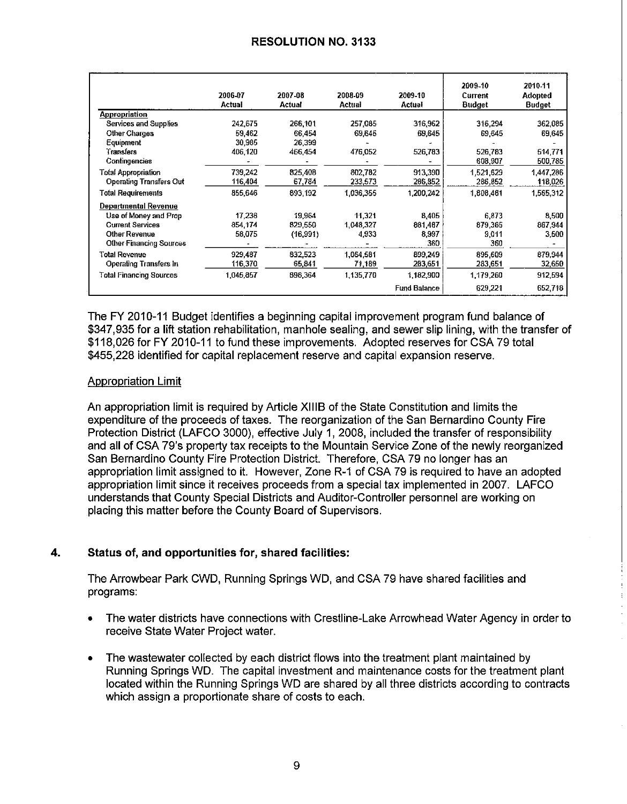|                                | 2006-07<br>Actual | 2007-08<br>Actual | 2008-09<br>Actual | 2009-10<br>Actual   | 2009-10<br>Current<br><b>Budget</b> | 2010-11<br>Adopted<br>Budget |
|--------------------------------|-------------------|-------------------|-------------------|---------------------|-------------------------------------|------------------------------|
| Appropriation                  |                   |                   |                   |                     |                                     |                              |
| Services and Supplies          | 242,675           | 266,101           | 257,085           | 316,962             | 316,294                             | 362,085                      |
| Other Charges                  | 59.462            | 66.454            | 69.645            | 69,645              | 69,645                              | 69,645                       |
| Equipment                      | 30,985            | 26,399            |                   |                     |                                     |                              |
| Transfers                      | 406,120           | 466,454           | 476,052           | 526,783             | 526,783                             | 514.771                      |
| Contingencies                  |                   |                   |                   |                     | 608,907                             | 500,785                      |
| Total Appropriation            | 739,242           | 825,408           | 802,782           | 913,390             | 1.521,629                           | 1,447,286                    |
| <b>Operating Transfers Out</b> | 116,404           | 67,784            | 233,573           | 286,852             | 286,852                             | 118,026                      |
| Total Requirements             | 855,646           | 893,192           | 1,036,355         | 1 200,242           | 1,808,481                           | 1,565,312                    |
| Departmental Revenue           |                   |                   |                   |                     |                                     |                              |
| Use of Money and Prop          | 17.236            | 19,964            | 11,321            | 8,405               | 6,873                               | 8,500                        |
| <b>Current Services</b>        | 854,174           | 829,550           | 1,048,327         | 861,487             | 879,365                             | 867,944                      |
| Other Revenue                  | 58,075            | (16, 991)         | 4,933             | 8,997               | 9,011                               | 3,500                        |
| <b>Other Financing Sources</b> |                   |                   |                   | 360                 | 360                                 |                              |
| Total Revenue                  | 929.487           | 832,523           | 1,064,581         | 899,249             | 895,609                             | 879,944                      |
| <b>Operating Transfers In</b>  | 116,370           | 65,841            | 71,189            | 263,651             | 283,651                             | 32,650                       |
| <b>Total Financing Sources</b> | 1,045.857         | 898,364           | 1,135,770         | 1.182,900           | 1,179,260                           | 912,594                      |
|                                |                   |                   |                   | <b>Fund Balance</b> | 629,221                             | 652,718                      |

The FY 2010-11 Budget identifies a beginning capital improvement program fund balance of \$347,935 for a lift station rehabilitation, manhole sealing, and sewer slip lining, with the transfer of \$118,026 for FY 2010-11 to fund these improvements. Adopted reserves for CSA 79 total \$455,228 identified for capital replacement reserve and capital expansion reserve.

### Appropriation Limit

An appropriation limit is required by Article XIIIB of the State Constitution and limits the expenditure of the proceeds of taxes. The reorganization of the San Bernardino County Fire Protection District (LAFCO 3000), effective July 1, 2008, included the transfer of responsibility and all of CSA 79's property tax receipts to the Mountain Service Zone of the newly reorganized San Bernardino County Fire Protection District Therefore, CSA 79 no longer has an appropriation limit assigned to it. However, Zone R-1 of CSA 79 is required to have an adopted appropriation limit since it receives proceeds from a special tax implemented in 2007. LAFCO understands that County Special Districts and Auditor-Controller personnel are working on placing this matter before the County Board of Supervisors.

## **4. Status of, and opportunities for, shared facilities:**

The Arrowbear Park CWD, Running Springs WD, and CSA 79 have shared facilities and programs:

- The water districts have connections with Crestline-Lake Arrowhead Water Agency in order to receive State Water Project water\_
- The wastewater collected by each district flows into the treatment plant maintained by Running Springs WD. The capital investment and maintenance costs for the treatment plant located within the Running Springs WD are shared by all three districts according to contracts which assign a proportionate share of costs to each.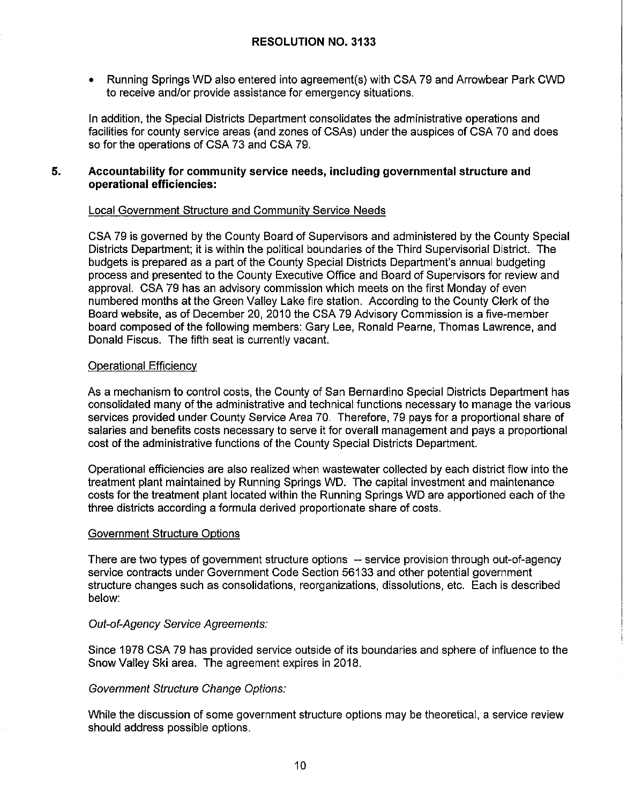• Running Springs WO also entered into agreement(s) with CSA 79 and Arrowbear Park CWD to receive and/or provide assistance for emergency situations.

In addition, the Special Districts Department consolidates the administrative operations and facilities for county service areas (and zones of CSAs) under the auspices of CSA 70 and does so for the operations of CSA 73 and CSA 79.

#### **5. Accountability for community service needs, including governmental structure and operational efficiencies:**

#### Local Government Structure and Community Service Needs

CSA 79 is governed by the County Board of Supervisors and administered by the County Special Districts Department; it is within the political boundaries of the Third Supervisorial District. The budgets is prepared as a part of the County Special Districts Department's annual budgeting process and presented to the County Executive Office and Board of Supervisors for review and approval. CSA 79 has an advisory commission which meets on the first Monday of even numbered months at the Green Valley Lake fire station. According to the County Clerk of the Board website, as of December 20, 2010 the CSA 79 Advisory Commission is a five-member board composed of the following members: Gary Lee, Ronald Pearne, Thomas Lawrence, and Donald Fiscus. The fifth seat is currently vacant.

#### Operational Efficiency

As a mechanism to control costs, the County of San Bernardino Special Districts Department has consolidated many of the administrative and technical functions necessary to manage the various services provided under County Service Area 70. Therefore, 79 pays for a proportional share of salaries and benefits costs necessary to serve it for overall management and pays a proportional cost of the administrative functions of the County Special Districts Department.

Operational efficiencies are also realized when wastewater collected by each district flow into the treatment plant maintained by Running Springs WD. The capital investment and maintenance costs for the treatment plant located within the Running Springs WD are apportioned each of the three districts according a formula derived proportionate share of costs.

#### Government Structure Options

There are two types of government structure options -- service provision through out-of-agency service contracts under Government Code Section 56133 and other potential government structure changes such as consolidations, reorganizations, dissolutions, etc. Each is described below:

### Out-of-Agency Service Agreements:

Since 1978 CSA 79 has provided service outside of its boundaries and sphere of influence to the Snow Valley Ski area. The agreement expires in 2018.

#### Government Structure Change Options:

While the discussion of some government structure options may be theoretical, a service review should address possible options.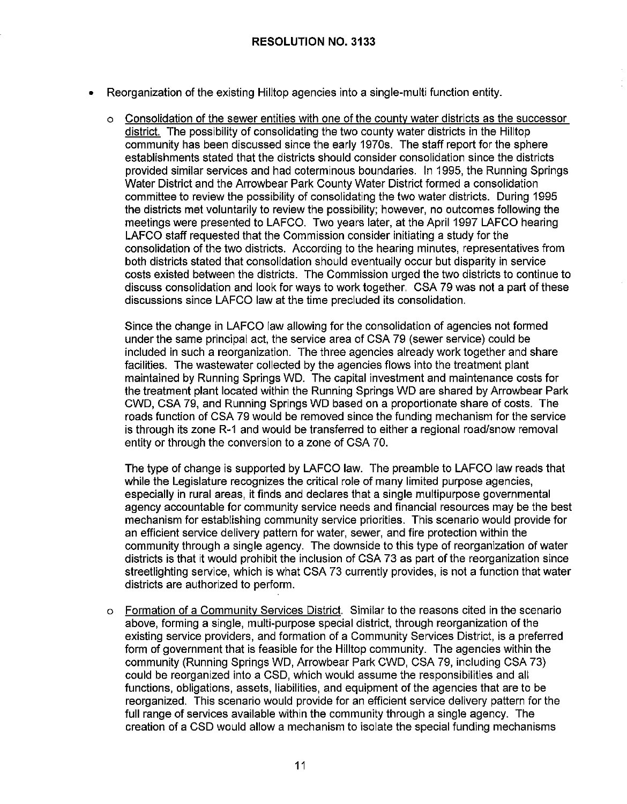- Reorganization of the existing Hilltop agencies into a single-multi function entity.
	- o Consolidation of the sewer entities with one of the county water districts as the successor district. The possibility of consolidating the two county water districts in the Hilltop community has been discussed since the early 1970s. The staff report for the sphere establishments stated that the districts should consider consolidation since the districts provided similar services and had coterminous boundaries. In 1995, the Running Springs Water District and the Arrowbear Park County Water District formed a consolidation committee to review the possibility of consolidating the two water districts. During 1995 the districts met voluntarily to review the possibility; however, no outcomes following the meetings were presented to LAFCO. Two years later, at the April 1997 LAFCO hearing LAFCO staff requested that the Commission consider initiating a study for the consolidation of the two districts. According to the hearing minutes, representatives from both districts stated that consolidation should eventually occur but disparity in service costs existed between the districts. The Commission urged the two districts to continue to discuss consolidation and look for ways to work together. CSA 79 was not a part of these discussions since LAFCO law at the time precluded its consolidation.

Since the change in LAFCO law allowing for the consolidation of agencies not formed under the same principal act, the service area of CSA 79 (sewer service) could be included in such a reorganization. The three agencies already work together and share facilities. The wastewater collected by the agencies flows into the treatment plant maintained by Running Springs WD. The capital investment and maintenance costs for the treatment plant located within the Running Springs WD are shared by Arrowbear Park CWD, CSA 79, and Running Springs WD based on a proportionate share of costs. The roads function of CSA 79 would be removed since the funding mechanism for the service is through its zone R-1 and would be transferred to either a regional road/snow removal entity or through the conversion to a zone of CSA 70.

The type of change is supported by LAFCO law. The preamble to LAFCO law reads that while the Legislature recognizes the critical role of many limited purpose agencies, especially in rural areas, it finds and declares that a single multipurpose governmental agency accountable for community service needs and financial resources may be the best mechanism for establishing community service priorities. This scenario would provide for an efficient service delivery pattern for water, sewer, and fire protection within the community through a single agency. The downside to this type of reorganization of water districts is that it would prohibit the inclusion of CSA 73 as part of the reorganization since streetlighting service, which is what CSA 73 currently provides, is not a function that water districts are authorized to perform.

o Formation of a Community Services District. Similar to the reasons cited in the scenario above, forming a single, multi-purpose special district, through reorganization of the existing service providers, and formation of a Community Services District, is a preferred form of government that is feasible for the Hilltop community. The agencies within the community (Running Springs WD, Arrowbear Park CWD, CSA 79, including CSA 73) could be reorganized into a CSD, which would assume the responsibilities and all functions, obligations, assets, liabilities, and equipment of the agencies that are to be reorganized. This scenario would provide for an efficient service delivery pattern for the full range of services available within the community through a single agency. The creation of a CSD would allow a mechanism to isolate the special funding mechanisms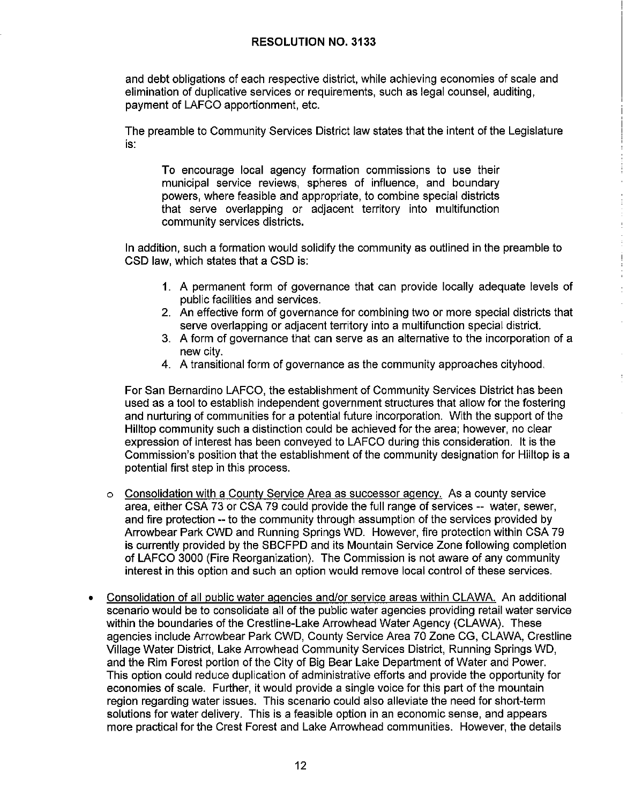and debt obligations of each respective district, while achieving economies of scale and elimination of duplicative services or requirements, such as legal counsel, auditing, payment of LAFCO apportionment, etc.

The preamble to Community Services District law states that the intent of the Legislature is:

To encourage local agency formation commissions to use their municipal service reviews, spheres of influence, and boundary powers, where feasible and appropriate, to combine special districts that serve overlapping or adjacent territory into multifunction community services districts.

In addition, such a formation would solidify the community as outlined in the preamble to CSD law, which states that a CSD is:

- **1.** A permanent form of governance that can provide locally adequate levels of public facilities and services.
- 2. An effective form of governance for combining two or more special districts that serve overlapping or adjacent territory into a multifunction special district.
- 3. A form of governance that can serve as an alternative to the incorporation of a new city.
- 4. A transitional form of governance as the community approaches cilyhood.

For San Bernardino LAFCO, the establishment of Community Services District has been used as a tool to establish independent government structures that allow for the fostering and nurturing of communities for a potential future incorporation. With the support of the Hilltop community such a distinction could be achieved for the area; however, no clear expression of interest has been conveyed to LAFCO during this consideration. It is the Commission's position that the establishment of the community designation for Hilltop is a potential first step in this process.

- o Consolidation with a County Service Area as successor agency. As a county service area, either CSA 73 or CSA 79 could provide the full range of services -- water, sewer, and fire protection -- to the community through assumption of the services provided by Arrowbear Park CWD and Running Springs WD. However, fire protection within CSA 79 is currently provided by the SBCFPD and its Mountain Service Zone following completion of LAFCO 3000 (Fire Reorganization). The Commission is not aware of any community interest in this option and such an option would remove local control of these services.
- Consolidation of all public water agencies and/or service areas within CLAWA. An additional scenario would be to consolidate all of the public water agencies providing retail water service within the boundaries of the Crestline-Lake Arrowhead Water Agency (CLAWA). These agencies include Arrowbear Park CWD, County Service Area 70 Zone CG, CLAWA, Crestline Village Water District, Lake Arrowhead Community Services District, Running Springs WD, and the Rim Forest portion of the City of Big Bear Lake Department of Water and Power. This option could reduce duplication of administrative efforts and provide the opportunity for economies of scale. Further, it would provide a single voice for this part of the mountain region regarding water issues. This scenario could also alleviate the need for short-term solutions for water delivery. This is a feasible option in an economic sense, and appears more practical for the Crest Forest and Lake Arrowhead communities. However, the details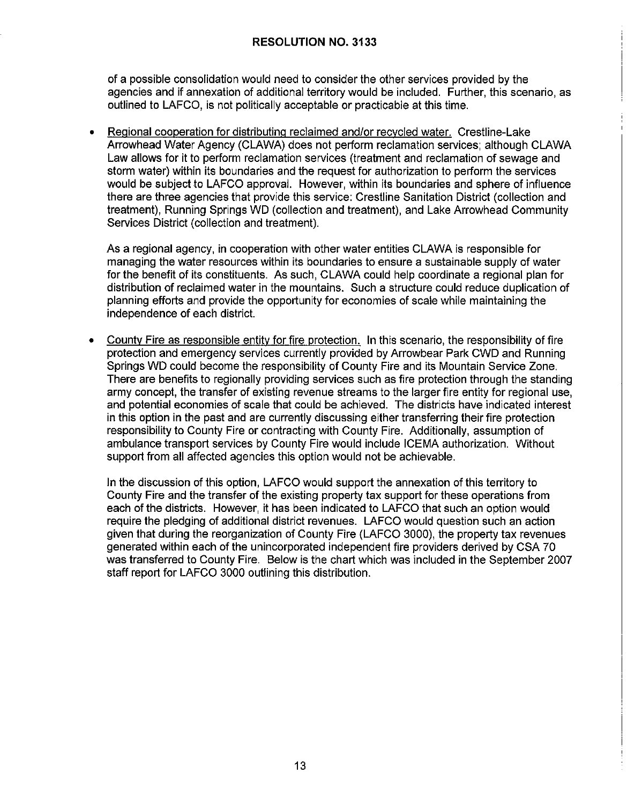of a possible consolidation would need to consider the other services provided by the agencies and if annexation of additional territory would be included. Further, this scenario, as outlined to LAFCO, is not politically acceptable or practicable at this time.

• Regional cooperation for distributing reclaimed and/or recycled water. Crestline-Lake Arrowhead Water Agency (CLAWA) does not perform reclamation services; although CLAWA Law allows for it to perform reclamation services (treatment and reclamation of sewage and storm water) within its boundaries and the request for authorization to perform the services would be subject to LAFCO approval. However, within its boundaries and sphere of influence there are three agencies that provide this service: Crestline Sanitation District (collection and treatment), Running Springs WD (collection and treatment), and Lake Arrowhead Community Services District (collection and treatment).

As a regional agency, in cooperation with other water entities CLAWA is responsible for managing the water resources within its boundaries to ensure a sustainable supply of water for the benefit of its constituents. As such, CLAWA could help coordinate a regional plan for distribution of reclaimed water in the mountains. Such a structure could reduce duplication of planning efforts and provide the opportunity for economies of scale while maintaining the independence of each district.

• County Fire as responsible entity for fire protection. In this scenario, the responsibility of fire protection and emergency services currently provided by Arrowbear Park CWD and Running Springs WD could become the responsibility of County Fire and its Mountain Service Zone. There are benefits to regionally providing services such as fire protection through the standing army concept, the transfer of existing revenue streams to the larger fire entity for regional use, and potential economies of scale that could be achieved. The districts have indicated interest in this option in the past and are currently discussing either transferring their fire protection responsibility to County Fire or contracting with County Fire. Additionally, assumption of ambulance transport services by County Fire would include ICEMA authorization. Without support from all affected agencies this option would not be achievable.

In the discussion of this option, LAFCO would support the annexation of this territory to County Fire and the transfer of the existing property tax support for these operations from each of the districts. However, it has been indicated to LAFCO that such an option would require the pledging of additional district revenues. LAFCO would question such an action given that during the reorganization of County Fire (LAFCO 3000), the property tax revenues generated within each of the unincorporated independent fire providers derived by CSA 70 was transferred to County Fire. Below is the chart which was included in the September 2007 staff report for LAFCO 3000 outlining this distribution.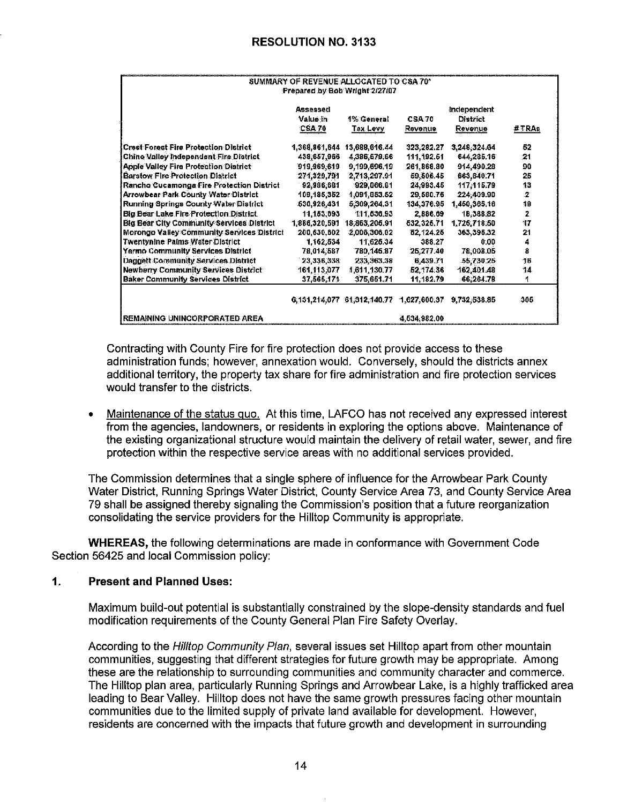| SUMMARY OF REVENUE ALLOCATED TO CSA 70*<br>Prepared by Bob Wright 2/27/07 |                                       |                                          |                          |                                           |       |
|---------------------------------------------------------------------------|---------------------------------------|------------------------------------------|--------------------------|-------------------------------------------|-------|
|                                                                           | Assessed<br>Value in<br><b>CSA 70</b> | 1% General<br>Tax Levy                   | <b>CSA 70</b><br>Revenue | Independent<br>District<br><b>Revenue</b> | #TRAs |
| <b>Crest Forest Fire Protection District</b>                              | 1,368,861,644                         | 13,688,616.44                            | 323, 282, 27             | 3,248,324.64                              | 52    |
| Chino Valley Independent Fire District                                    | 438,657,966                           | 4,386,679.66                             | 111,192.61               | 644,285.16                                | 21    |
| <b>Apple Valley Fire Protection District</b>                              | 919,969,619                           | 9,199,696.19                             | 261,868.80               | 914,490.28                                | 90    |
| <b>Barstow Fire Protection District</b>                                   | 271,329,791                           | 2,713,207.91                             | 59,506.45                | 663,640.71                                | 25    |
| Rancho Cucamonga Fire Protection District                                 | 92,986,681                            | 929,866.81                               | 24,993.45                | 117,115.79                                | 13    |
| <b>Arrowbear Park County Water District</b>                               | 109,185,352                           | 1,091,853.52                             | 29,580.76                | 224,409.90                                | 2     |
| Running Springs County Water District                                     | 530,926,431                           | 5,309,204.31                             | 134, 376.95              | 1,450,365.16                              | 19    |
| <b>Big Bear Lake Fire Protection District</b>                             | 11,153,593                            | 111.536.93                               | 2.886.69                 | 18:388.82                                 | 2     |
| <b>Big Bear City Community Services District</b>                          | 1,886,320,591                         | 18,863,205.91                            | 532, 325, 71             | 1,725,718.50                              | 17    |
| Morongo Valley Community Services District                                | 200,630,602                           | 2,006,306,02                             | 52, 124.25               | 363,395.32                                | 21    |
| <b>Twentynine Palms Water District</b>                                    | 1,162,534                             | 11.625.34                                | 388.27                   | 0.00                                      | 4     |
| Yermo Community Services District                                         | 78,014,587                            | 780,145.87                               | 25,277.40                | 78,008.06                                 | 8     |
| Daggelt Community Services District                                       | 23,336,338                            | 233,363.38                               | 6.439.71                 | 55,730.26                                 | 16.   |
| <b>Newberry Community Services District</b>                               | 161,113,077                           | 1,611,130.77                             | 52,174.36                | 162,401.48                                | 14    |
| <b>Baker Community Services District</b>                                  | 37,565,171                            | 375,651.71                               | 11.182.79                | 66,264.78                                 | 1     |
|                                                                           |                                       | 6,131,214,077 61,312,140.77 1,627,600,37 |                          | 9,732,538.85                              | -305. |
| <b>REMAINING UNINCORPORATED AREA</b>                                      |                                       |                                          | 4,534,982,00             |                                           |       |

Contracting with County Fire for fire protection does not provide access to these administration funds; however, annexation would. Conversely, should the districts annex additional territory, the property tax share for fire administration and fire protection services would transfer to the districts.

Maintenance of the status quo. At this time, LAFCO has not received any expressed interest  $\bullet$ from the agencies, landowners, or residents in exploring the options above. Maintenance of the existing organizational structure would maintain the delivery of retail water, sewer, and fire protection within the respective service areas with no additional services provided.

The Commission determines that a single sphere of influence for the Arrowbear Park County Water District, Running Springs Water District, County Service Area 73, and County Service Area 79 shall be assigned thereby signaling the Commission's position that a future reorganization consolidating the service providers for the Hilltop Community is appropriate.

**WHEREAS, the following determinations are made in conformance with Government Code** Section 56425 and local Commission policy:

#### $1.$ **Present and Planned Uses:**

Maximum build-out potential is substantially constrained by the slope-density standards and fuel modification requirements of the County General Plan Fire Safety Overlay.

According to the Hilltop Community Plan, several issues set Hilltop apart from other mountain communities, suggesting that different strategies for future growth may be appropriate. Among these are the relationship to surrounding communities and community character and commerce. The Hilltop plan area, particularly Running Springs and Arrowbear Lake, is a highly trafficked area leading to Bear Valley. Hilltop does not have the same growth pressures facing other mountain communities due to the limited supply of private land available for development. However, residents are concerned with the impacts that future growth and development in surrounding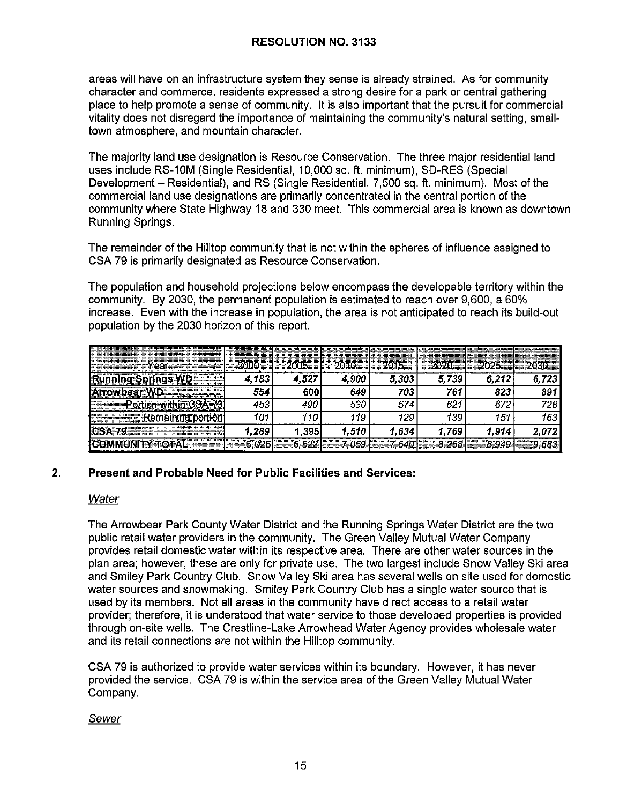areas will have on an infrastructure system they sense is already strained. As for community character and commerce, residents expressed a strong desire for a park or central gathering place to help promote a sense of community. II is also important that the pursuit for commercial vitality does not disregard the importance of maintaining the community's natural setting, smalltown atmosphere, and mountain character.

The majority land use designation is Resource Conservation. The three major residential land uses include RS-10M (Single Residential, 10,000 sq. ft. minimum), SD-RES (Special Development - Residential), and RS (Single Residential, 7,500 sq. ft. minimum). Most of the commercial land use designations are primarily concentrated in the central portion of the community where State Highway 18 and 330 meet. This commercial area is known as downtown Running Springs.

The remainder of the Hilltop community that is not within the spheres of influence assigned to CSA 79 is primarily designated as Resource Conservation.

The population and household projections below encompass the developable territory within the community. By 2030, the permanent population is estimated to reach over 9,600, a 60% increase. Even with the increase in population, the area is not anticipated to reach its build-out population by the 2030 horizon of this report.

| <b><i><u>Adventure Year Mexico Adv</u></i></b> |       |       |       |        | $2005$ 2010 2015 2020 2025 |       |       |
|------------------------------------------------|-------|-------|-------|--------|----------------------------|-------|-------|
| Running Springs WD                             | 4,183 | 4.527 | 4,900 | 5,303  | 5,739                      | 6.212 | 6,723 |
| Arrowbear WD                                   | 554   | 600   | 649   | 703    | 761                        | 823   | 891   |
| <b>Excess Portion within CSA 73</b>            | 453   | 490   | 530   | 574    | 621                        | 672   | 728   |
| <b>Remaining portion</b>                       |       | 110   | 119   | 129    | 139                        | 151   | 163   |
|                                                | 1,289 | 1,395 | 1.510 | 1,634, | 1.769                      | 1.914 | 2,072 |
| <b>COMMUNITY TOTAL</b>                         |       |       |       |        |                            |       |       |

## **2. Present and Probable Need for Public Facilities and Services:**

### Water

The Arrowbear Park County Water District and the Running Springs Water District are the two public retail water providers in the community. The Green Valley Mutual Water Company provides retail domestic water within its respective area. There are other water sources in the plan area; however, these are only for private use. The two largest include Snow Valley Ski area and Smiley Park Country Club. Snow Valley Ski area has several wells on site used for domestic water sources and snowmaking. Smiley Park Country Club has a single water source that is used by its members. Not all areas in the community have direct access to a retail water provider; therefore, it is understood that water service to those developed properties is provided through on-site wells. The Crestline-Lake Arrowhead Water Agency provides wholesale water and its retail connections are not within the Hilltop community.

CSA 79 is authorized to provide water services within its boundary. However, it has never provided the service. CSA 79 is within the service area of the Green Valley Mutual Water Company.

### Sewer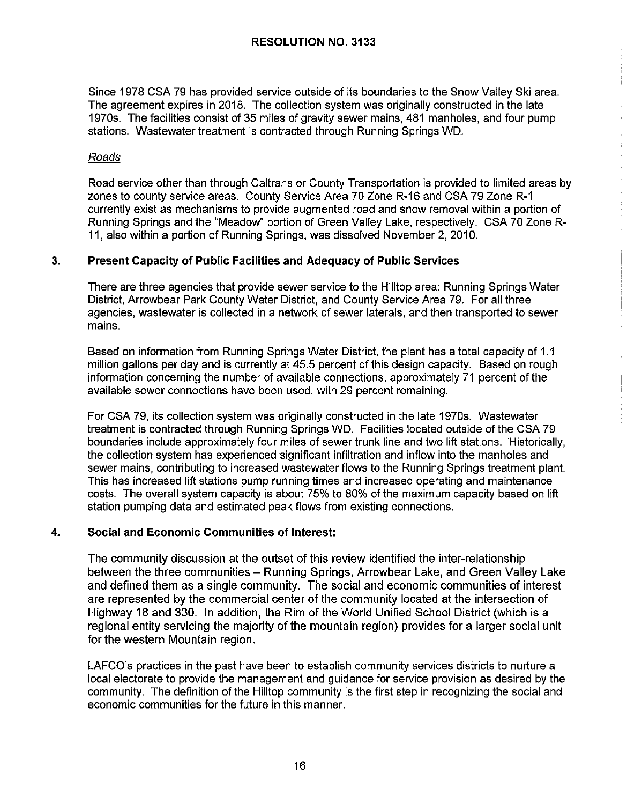Since 1978 CSA 79 has provided service outside of its boundaries to the Snow Valley Ski area. The agreement expires in 2018. The collection system was originally constructed in the late 1970s. The facilities consist of 35 miles of gravity sewer mains, 481 manholes, and four pump stations. Wastewater treatment is contracted through Running Springs WD.

#### Roads

Road service other than through Caltrans or County Transportation is provided to limited areas by zones to county service areas. County Service Area 70 Zone R-16 and CSA 79 Zone R-1 currently exist as mechanisms to provide augmented road and snow removal within a portion of Running Springs and the "Meadow" portion of Green Valley Lake, respectively. CSA 70 Zone R-11, also within a portion of Running Springs, was dissolved November 2, 2010.

### **3. Present Capacity of Public Facilities and Adequacy of Public Services**

There are three agencies that provide sewer service to the Hilltop area: Running Springs Water District, Arrowbear Park County Water District, and County Service Area 79. For all three agencies, wastewater is collected in a network of sewer laterals, and then transported to sewer mains.

Based on information from Running Springs Water District, the plant has a total capacity of 1.1 million gallons per day and is currently at 45.5 percent of this design capacity. Based on rough information concerning the number of available connections, approximately 71 percent of the available sewer connections have been used, with 29 percent remaining.

For CSA 79, its collection system was originally constructed in the late 1970s. Wastewater treatment is contracted through Running Springs WD. Facilities located outside of the CSA 79 boundaries include approximately four miles of sewer trunk line and two lift stations. Historically, the collection system has experienced significant infiltration and inflow into the manholes and sewer mains, contributing to increased wastewater flows to the Running Springs treatment plant. This has increased lift stations pump running times and increased operating and maintenance costs. The overall system capacity is about 75% to 80% of the maximum capacity based on lift station pumping data and estimated peak flows from existing connections.

### **4. Social and Economic Communities of Interest:**

The community discussion at the outset of this review identified the inter-relationship between the three communities – Running Springs, Arrowbear Lake, and Green Valley Lake and defined them as a single community. The social and economic communities of interest are represented by the commercial center of the community located at the intersection of Highway 18 and 330. In addition, the Rim of the World Unified School District (which is a regional entity servicing the majority of the mountain region) provides for a larger social unit for the western Mountain region.

LAFCO's practices in the past have been to establish community services districts to nurture a local electorate to provide the management and guidance for service provision as desired by the community. The definition of the Hilltop community is the first step in recognizing the social and economic communities for the future in this manner.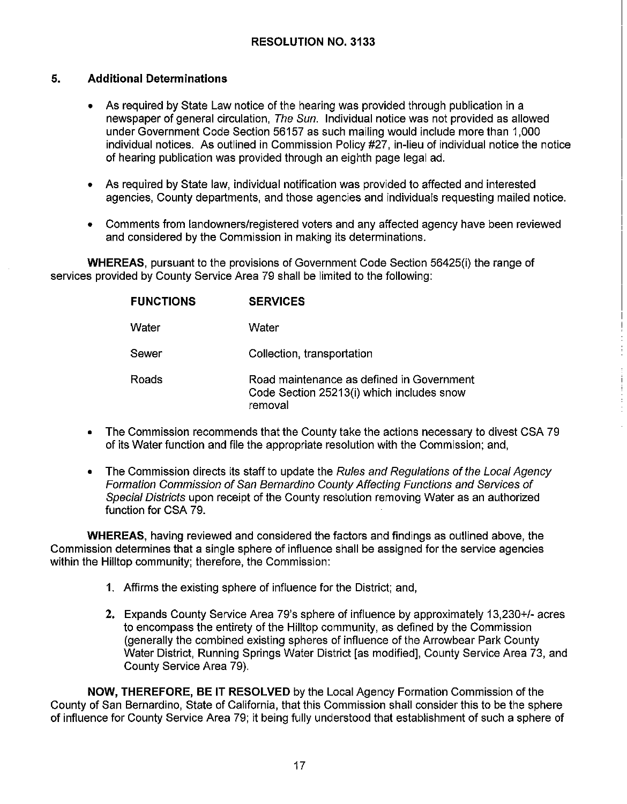## **5. Additional Determinations**

- As required by State Law notice of the hearing was provided through publication in a newspaper of general circulation, The Sun. Individual notice was not provided as allowed under Government Code Section 56157 as such mailing would include more than 1,000 individual notices. As outlined in Commission Policy #27, in-lieu of individual notice the notice of hearing publication was provided through an eighth page legal ad.
- As required by State law, individual notification was provided to affected and interested agencies, County departments, and those agencies and individuals requesting mailed notice.
- Comments from landowners/registered voters and any affected agency have been reviewed and considered by the Commission in making its determinations.

**WHEREAS,** pursuant to the provisions of Government Code Section 56425(i) the range of services provided by County Service Area 79 shall be limited to the following:

| <b>FUNCTIONS</b> | <b>SERVICES</b>                                                                                   |
|------------------|---------------------------------------------------------------------------------------------------|
| Water            | Water                                                                                             |
| Sewer            | Collection, transportation                                                                        |
| Roads            | Road maintenance as defined in Government<br>Code Section 25213(i) which includes snow<br>removal |

- The Commission recommends that the County take the actions necessary to divest CSA 79 of its Water function and file the appropriate resolution with the Commission; and,
- The Commission directs its staff to update the Rules and Regulations of the Local Agency Formation Commission of San Bernardino County Affecting Functions and Services of Special Districts upon receipt of the County resolution removing Water as an authorized function for CSA 79.

**WHEREAS,** having reviewed and considered the factors and findings as outlined above, the Commission determines that a single sphere of influence shall be assigned for the service agencies within the Hilltop community; therefore, the Commission:

- 1. Affirms the existing sphere of influence for the District; and,
- **2.** Expands County Service Area 79's sphere of influence by approximately 13,230+/- acres to encompass the entirety of the Hilltop community, as defined by the Commission (generally the combined existing spheres of influence of the Arrowbear Park County Water District, Running Springs Water District [as modified], County Service Area 73, and County Service Area 79).

**NOW, THEREFORE, BE IT RESOLVED** by the Local Agency Formation Commission of the County of San Bernardino, State of California, that this Commission shall consider this to be the sphere of influence for County Service Area 79; it being fully understood that establishment of such a sphere of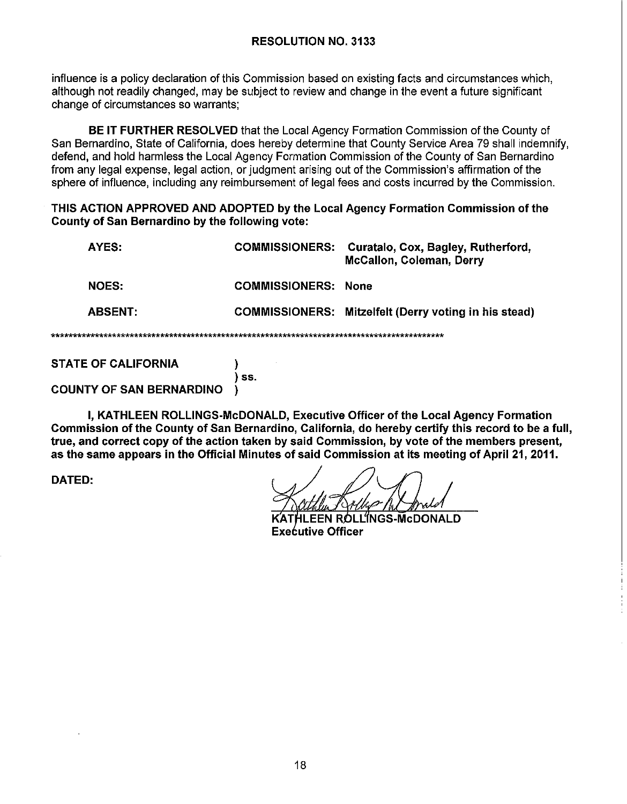influence is a policy declaration of this Commission based on existing facts and circumstances which, although not readily changed, may be subject to review and change in the event a future significant change of circumstances so warrants:

BE IT FURTHER RESOLVED that the Local Agency Formation Commission of the County of San Bernardino, State of California, does hereby determine that County Service Area 79 shall indemnify, defend, and hold harmless the Local Agency Formation Commission of the County of San Bernardino from any legal expense, legal action, or judgment arising out of the Commission's affirmation of the sphere of influence, including any reimbursement of legal fees and costs incurred by the Commission.

#### THIS ACTION APPROVED AND ADOPTED by the Local Agency Formation Commission of the **County of San Bernardino by the following vote:**

| AYES:          | <b>COMMISSIONERS:</b>      | Curatalo, Cox, Bagley, Rutherford,<br><b>McCallon, Coleman, Derry</b> |  |  |  |
|----------------|----------------------------|-----------------------------------------------------------------------|--|--|--|
| <b>NOES:</b>   | <b>COMMISSIONERS: None</b> |                                                                       |  |  |  |
| <b>ABSENT:</b> |                            | COMMISSIONERS: Mitzelfelt (Derry voting in his stead)                 |  |  |  |
|                |                            |                                                                       |  |  |  |

**STATE OF CALIFORNIA** 

 $\lambda$  $\overline{\phantom{a}}$  ss. -1

## **COUNTY OF SAN BERNARDINO**

I. KATHLEEN ROLLINGS-McDONALD. Executive Officer of the Local Agency Formation Commission of the County of San Bernardino, California, do hereby certify this record to be a full, true, and correct copy of the action taken by said Commission, by vote of the members present, as the same appears in the Official Minutes of said Commission at its meeting of April 21, 2011.

**DATED:** 

بالمحاملة بكاملة

OLL'ÍNGS-McDONALD **Executive Officer**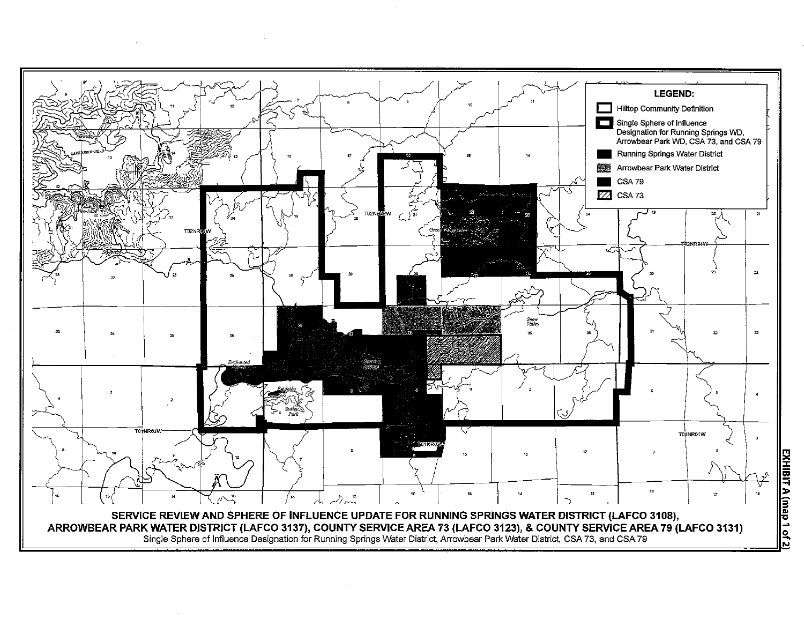

<u>፰</u> iii **::j**  A (map 1 of